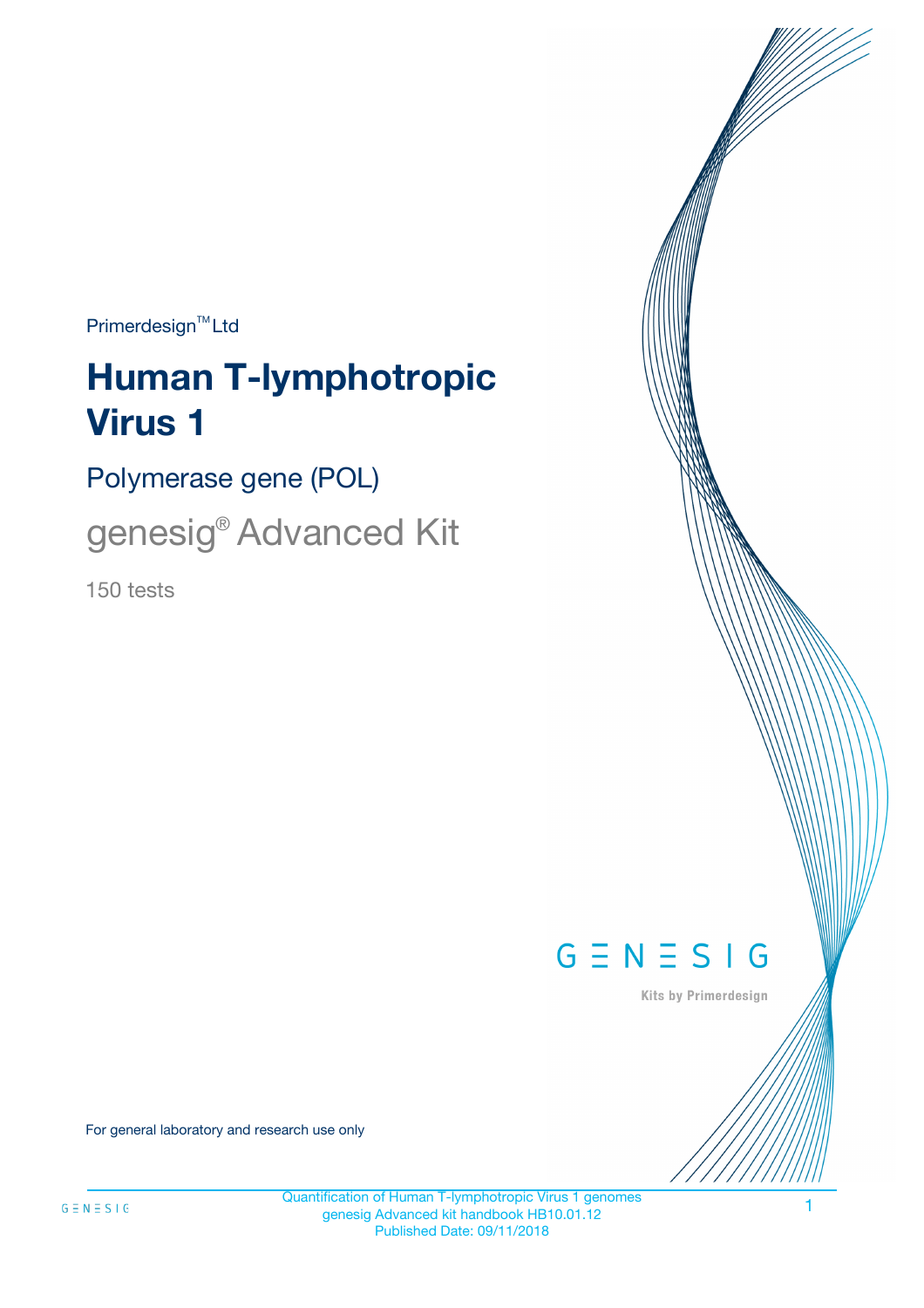$Primerdesign^{\text{TM}}Ltd$ 

# **Human T-lymphotropic Virus 1**

Polymerase gene (POL)

genesig® Advanced Kit

150 tests



Kits by Primerdesign

For general laboratory and research use only

Quantification of Human T-lymphotropic Virus 1 genomes genesig Advanced kit handbook HB10.01.12 Published Date: 09/11/2018

1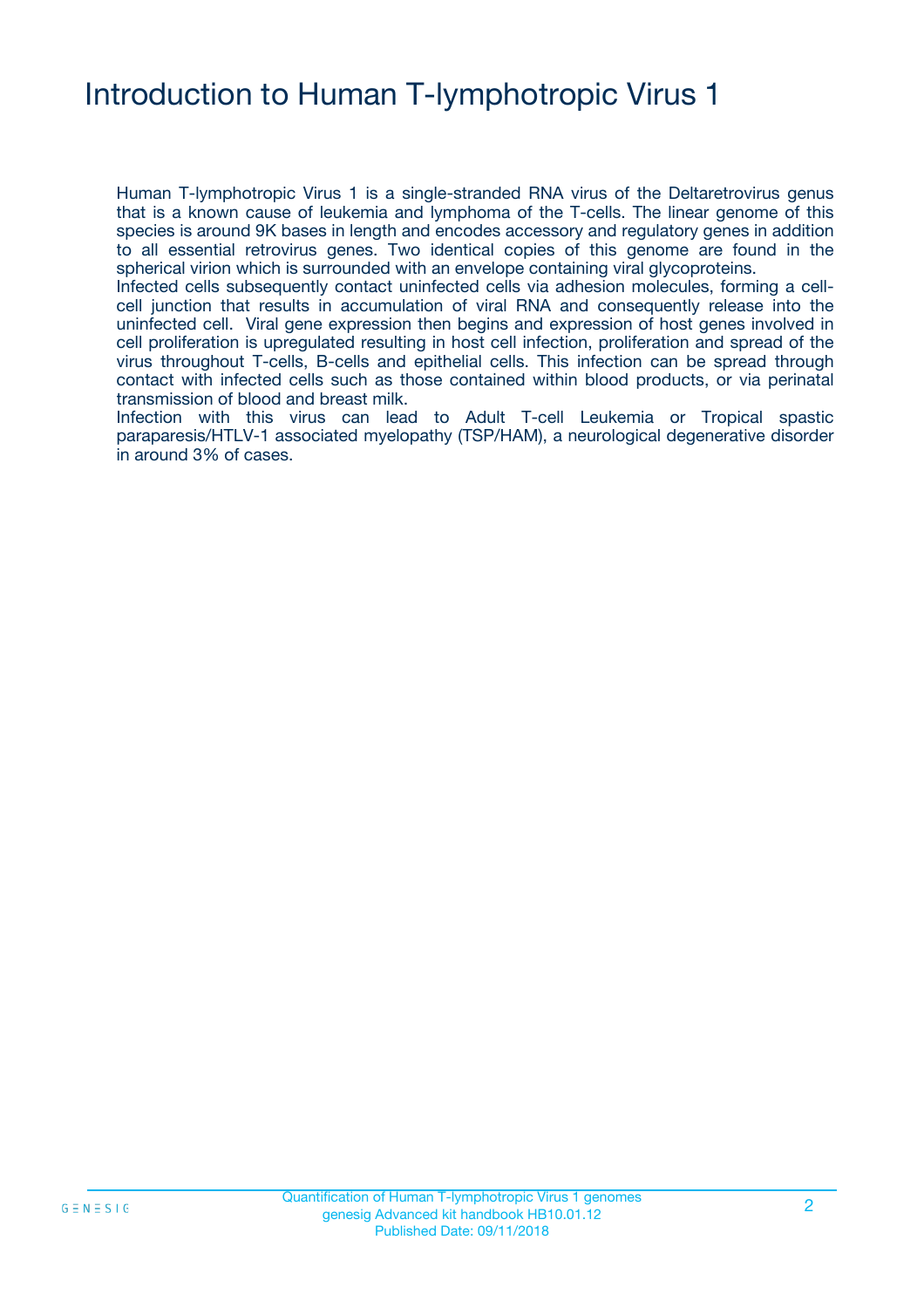# Introduction to Human T-lymphotropic Virus 1

Human T-lymphotropic Virus 1 is a single-stranded RNA virus of the Deltaretrovirus genus that is a known cause of leukemia and lymphoma of the T-cells. The linear genome of this species is around 9K bases in length and encodes accessory and regulatory genes in addition to all essential retrovirus genes. Two identical copies of this genome are found in the spherical virion which is surrounded with an envelope containing viral glycoproteins.

Infected cells subsequently contact uninfected cells via adhesion molecules, forming a cellcell junction that results in accumulation of viral RNA and consequently release into the uninfected cell. Viral gene expression then begins and expression of host genes involved in cell proliferation is upregulated resulting in host cell infection, proliferation and spread of the virus throughout T-cells, B-cells and epithelial cells. This infection can be spread through contact with infected cells such as those contained within blood products, or via perinatal transmission of blood and breast milk.

Infection with this virus can lead to Adult T-cell Leukemia or Tropical spastic paraparesis/HTLV-1 associated myelopathy (TSP/HAM), a neurological degenerative disorder in around 3% of cases.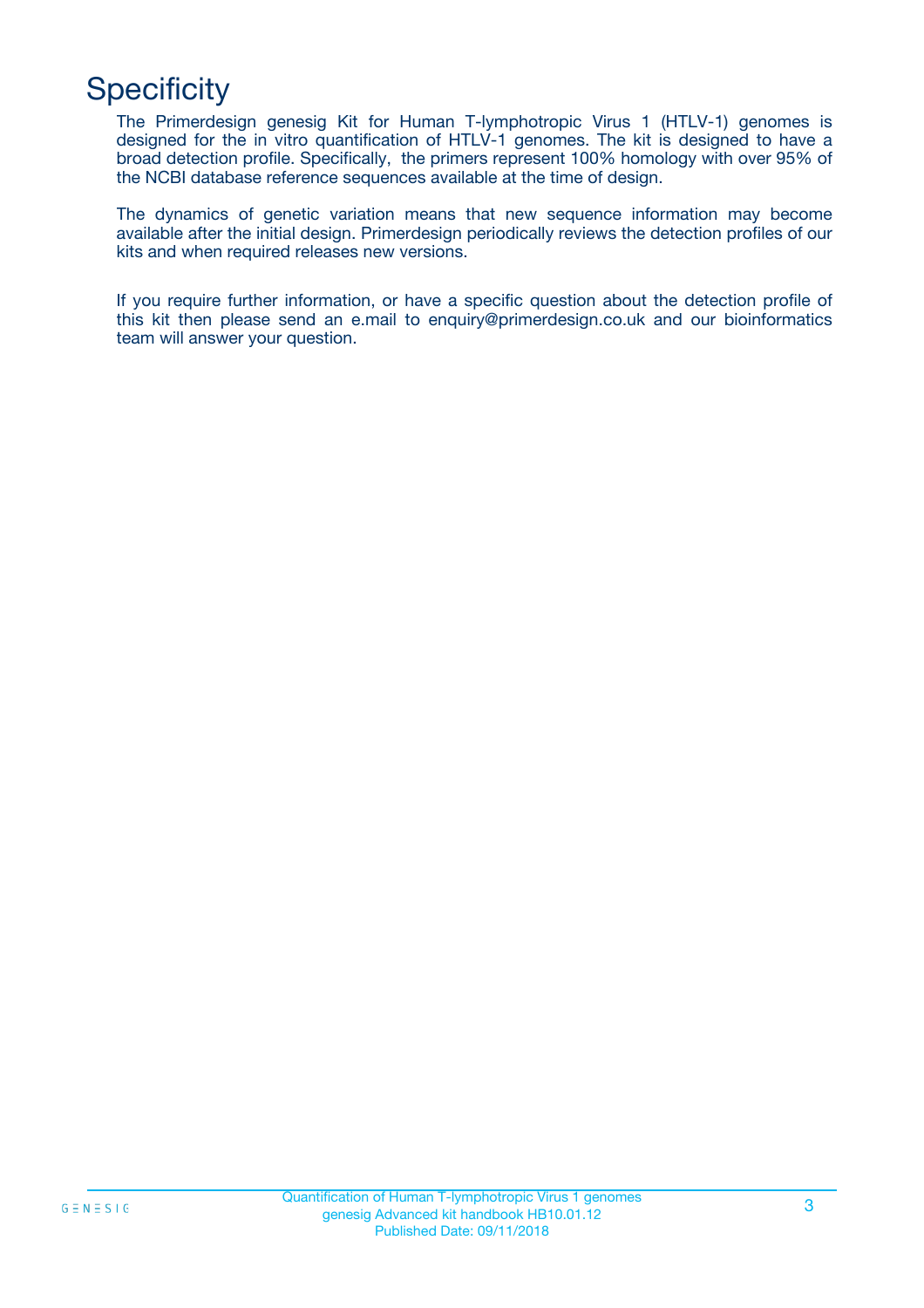# **Specificity**

The Primerdesign genesig Kit for Human T-lymphotropic Virus 1 (HTLV-1) genomes is designed for the in vitro quantification of HTLV-1 genomes. The kit is designed to have a broad detection profile. Specifically, the primers represent 100% homology with over 95% of the NCBI database reference sequences available at the time of design.

The dynamics of genetic variation means that new sequence information may become available after the initial design. Primerdesign periodically reviews the detection profiles of our kits and when required releases new versions.

If you require further information, or have a specific question about the detection profile of this kit then please send an e.mail to enquiry@primerdesign.co.uk and our bioinformatics team will answer your question.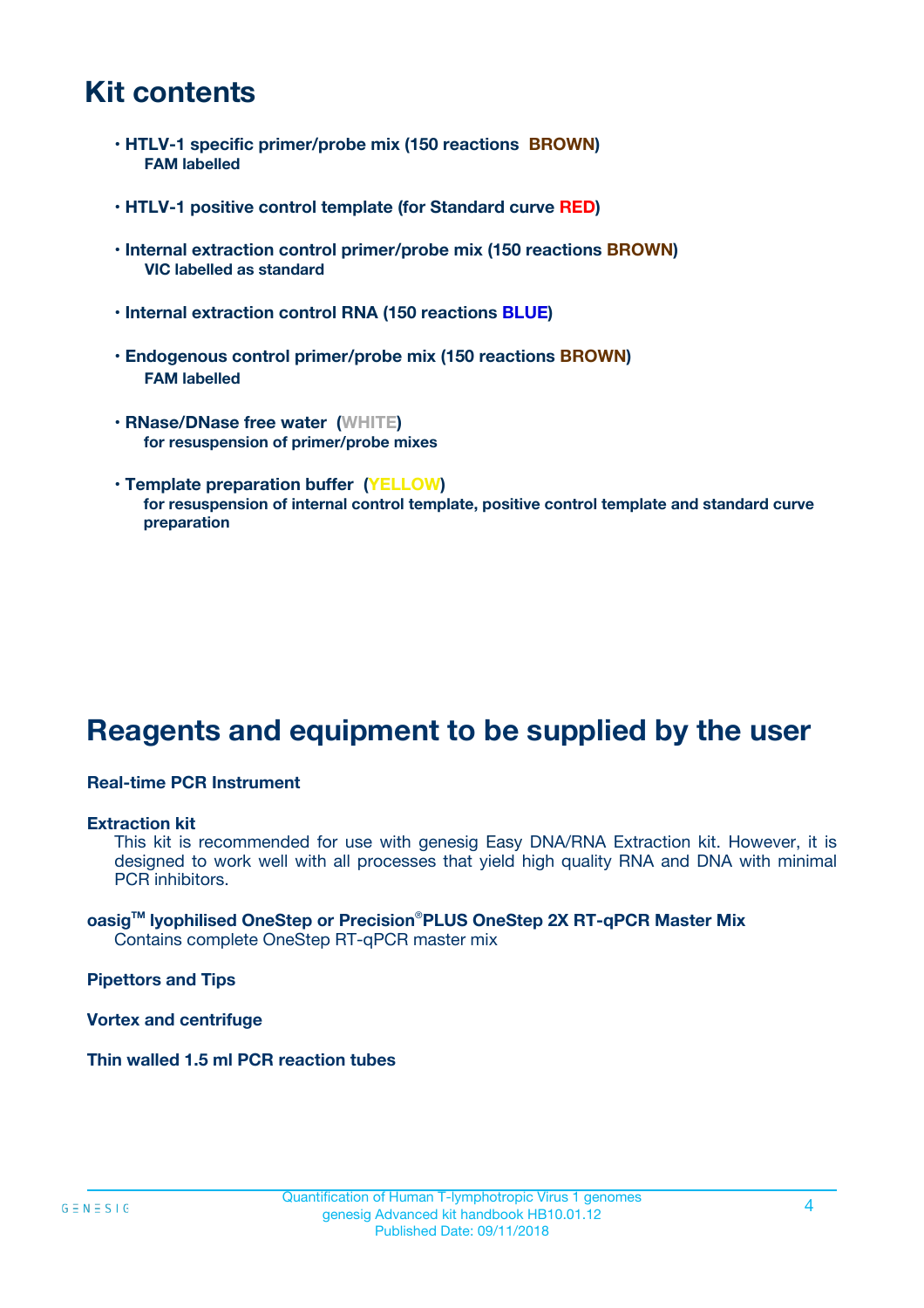### **Kit contents**

- **HTLV-1 specific primer/probe mix (150 reactions BROWN) FAM labelled**
- **HTLV-1 positive control template (for Standard curve RED)**
- **Internal extraction control primer/probe mix (150 reactions BROWN) VIC labelled as standard**
- **Internal extraction control RNA (150 reactions BLUE)**
- **Endogenous control primer/probe mix (150 reactions BROWN) FAM labelled**
- **RNase/DNase free water (WHITE) for resuspension of primer/probe mixes**
- **Template preparation buffer (YELLOW) for resuspension of internal control template, positive control template and standard curve preparation**

# **Reagents and equipment to be supplied by the user**

#### **Real-time PCR Instrument**

#### **Extraction kit**

This kit is recommended for use with genesig Easy DNA/RNA Extraction kit. However, it is designed to work well with all processes that yield high quality RNA and DNA with minimal PCR inhibitors.

#### **oasigTM lyophilised OneStep or Precision**®**PLUS OneStep 2X RT-qPCR Master Mix** Contains complete OneStep RT-qPCR master mix

**Pipettors and Tips**

**Vortex and centrifuge**

**Thin walled 1.5 ml PCR reaction tubes**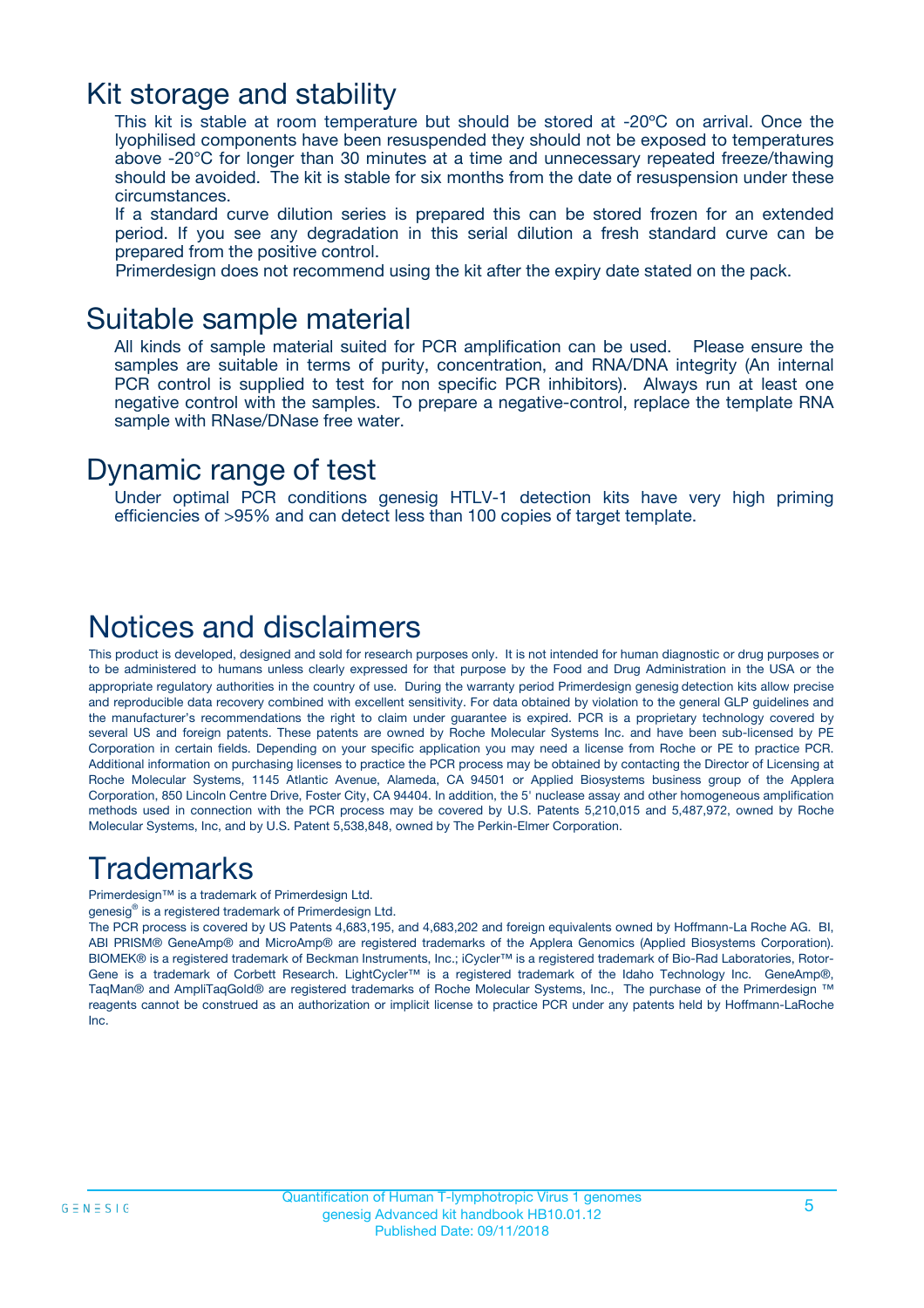### Kit storage and stability

This kit is stable at room temperature but should be stored at -20ºC on arrival. Once the lyophilised components have been resuspended they should not be exposed to temperatures above -20°C for longer than 30 minutes at a time and unnecessary repeated freeze/thawing should be avoided. The kit is stable for six months from the date of resuspension under these circumstances.

If a standard curve dilution series is prepared this can be stored frozen for an extended period. If you see any degradation in this serial dilution a fresh standard curve can be prepared from the positive control.

Primerdesign does not recommend using the kit after the expiry date stated on the pack.

### Suitable sample material

All kinds of sample material suited for PCR amplification can be used. Please ensure the samples are suitable in terms of purity, concentration, and RNA/DNA integrity (An internal PCR control is supplied to test for non specific PCR inhibitors). Always run at least one negative control with the samples. To prepare a negative-control, replace the template RNA sample with RNase/DNase free water.

### Dynamic range of test

Under optimal PCR conditions genesig HTLV-1 detection kits have very high priming efficiencies of >95% and can detect less than 100 copies of target template.

### Notices and disclaimers

This product is developed, designed and sold for research purposes only. It is not intended for human diagnostic or drug purposes or to be administered to humans unless clearly expressed for that purpose by the Food and Drug Administration in the USA or the appropriate regulatory authorities in the country of use. During the warranty period Primerdesign genesig detection kits allow precise and reproducible data recovery combined with excellent sensitivity. For data obtained by violation to the general GLP guidelines and the manufacturer's recommendations the right to claim under guarantee is expired. PCR is a proprietary technology covered by several US and foreign patents. These patents are owned by Roche Molecular Systems Inc. and have been sub-licensed by PE Corporation in certain fields. Depending on your specific application you may need a license from Roche or PE to practice PCR. Additional information on purchasing licenses to practice the PCR process may be obtained by contacting the Director of Licensing at Roche Molecular Systems, 1145 Atlantic Avenue, Alameda, CA 94501 or Applied Biosystems business group of the Applera Corporation, 850 Lincoln Centre Drive, Foster City, CA 94404. In addition, the 5' nuclease assay and other homogeneous amplification methods used in connection with the PCR process may be covered by U.S. Patents 5,210,015 and 5,487,972, owned by Roche Molecular Systems, Inc, and by U.S. Patent 5,538,848, owned by The Perkin-Elmer Corporation.

### Trademarks

Primerdesign™ is a trademark of Primerdesign Ltd.

genesig® is a registered trademark of Primerdesign Ltd.

The PCR process is covered by US Patents 4,683,195, and 4,683,202 and foreign equivalents owned by Hoffmann-La Roche AG. BI, ABI PRISM® GeneAmp® and MicroAmp® are registered trademarks of the Applera Genomics (Applied Biosystems Corporation). BIOMEK® is a registered trademark of Beckman Instruments, Inc.; iCycler™ is a registered trademark of Bio-Rad Laboratories, Rotor-Gene is a trademark of Corbett Research. LightCycler™ is a registered trademark of the Idaho Technology Inc. GeneAmp®, TaqMan® and AmpliTaqGold® are registered trademarks of Roche Molecular Systems, Inc., The purchase of the Primerdesign ™ reagents cannot be construed as an authorization or implicit license to practice PCR under any patents held by Hoffmann-LaRoche Inc.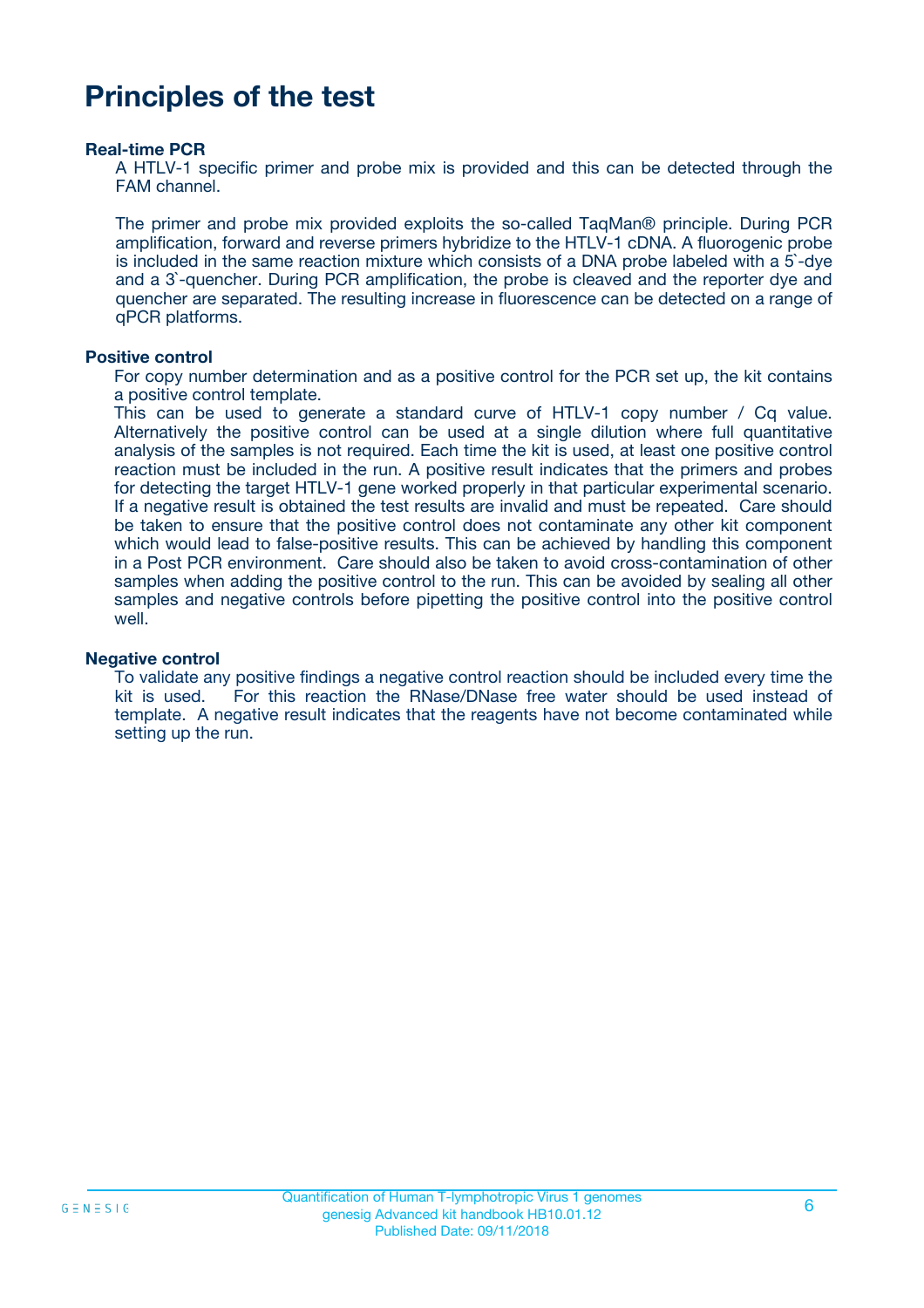## **Principles of the test**

#### **Real-time PCR**

A HTLV-1 specific primer and probe mix is provided and this can be detected through the FAM channel.

The primer and probe mix provided exploits the so-called TaqMan® principle. During PCR amplification, forward and reverse primers hybridize to the HTLV-1 cDNA. A fluorogenic probe is included in the same reaction mixture which consists of a DNA probe labeled with a 5`-dye and a 3`-quencher. During PCR amplification, the probe is cleaved and the reporter dye and quencher are separated. The resulting increase in fluorescence can be detected on a range of qPCR platforms.

#### **Positive control**

For copy number determination and as a positive control for the PCR set up, the kit contains a positive control template.

This can be used to generate a standard curve of HTLV-1 copy number / Cq value. Alternatively the positive control can be used at a single dilution where full quantitative analysis of the samples is not required. Each time the kit is used, at least one positive control reaction must be included in the run. A positive result indicates that the primers and probes for detecting the target HTLV-1 gene worked properly in that particular experimental scenario. If a negative result is obtained the test results are invalid and must be repeated. Care should be taken to ensure that the positive control does not contaminate any other kit component which would lead to false-positive results. This can be achieved by handling this component in a Post PCR environment. Care should also be taken to avoid cross-contamination of other samples when adding the positive control to the run. This can be avoided by sealing all other samples and negative controls before pipetting the positive control into the positive control well.

#### **Negative control**

To validate any positive findings a negative control reaction should be included every time the kit is used. For this reaction the RNase/DNase free water should be used instead of template. A negative result indicates that the reagents have not become contaminated while setting up the run.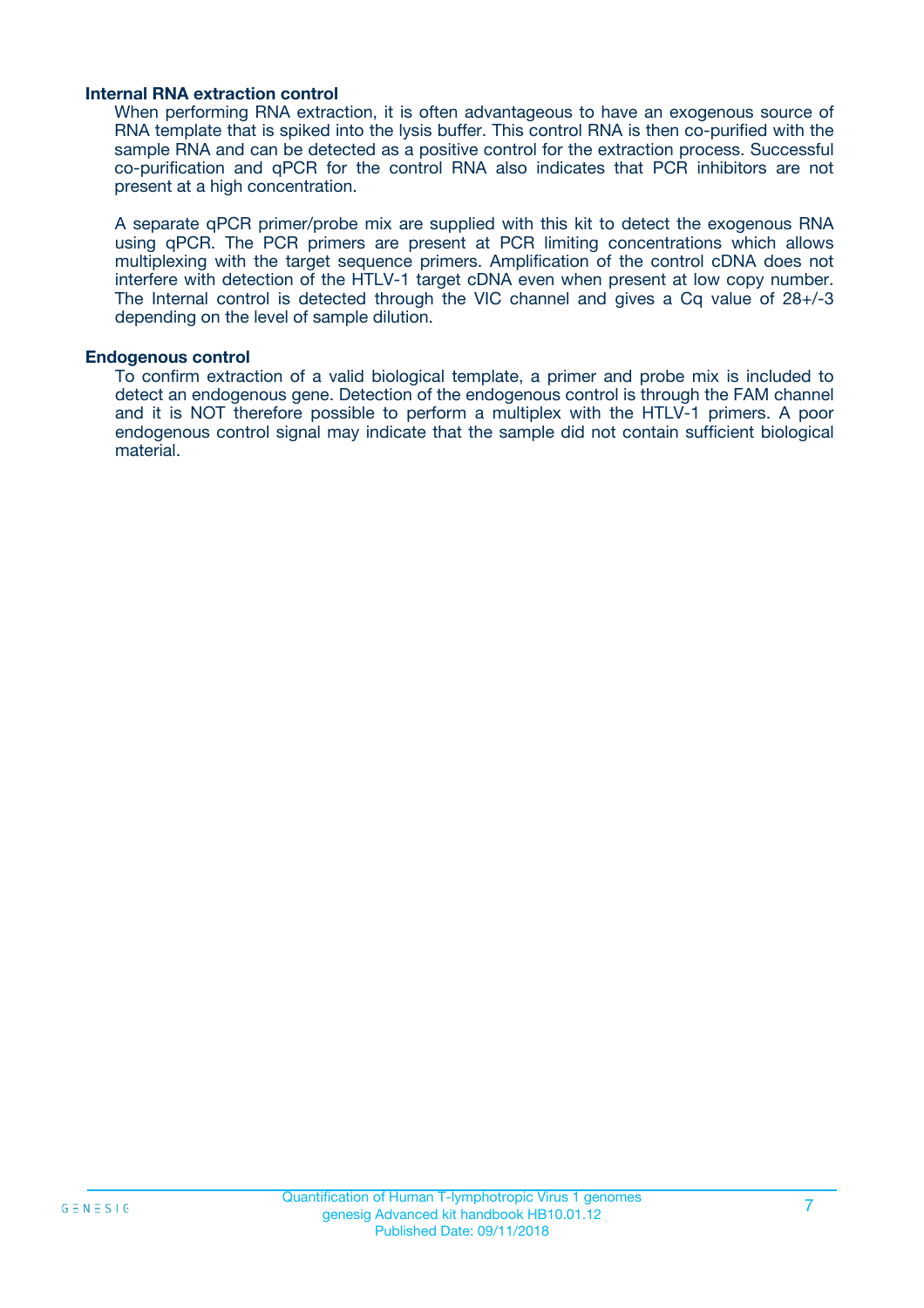#### **Internal RNA extraction control**

When performing RNA extraction, it is often advantageous to have an exogenous source of RNA template that is spiked into the lysis buffer. This control RNA is then co-purified with the sample RNA and can be detected as a positive control for the extraction process. Successful co-purification and qPCR for the control RNA also indicates that PCR inhibitors are not present at a high concentration.

A separate qPCR primer/probe mix are supplied with this kit to detect the exogenous RNA using qPCR. The PCR primers are present at PCR limiting concentrations which allows multiplexing with the target sequence primers. Amplification of the control cDNA does not interfere with detection of the HTLV-1 target cDNA even when present at low copy number. The Internal control is detected through the VIC channel and gives a Cq value of 28+/-3 depending on the level of sample dilution.

#### **Endogenous control**

To confirm extraction of a valid biological template, a primer and probe mix is included to detect an endogenous gene. Detection of the endogenous control is through the FAM channel and it is NOT therefore possible to perform a multiplex with the HTLV-1 primers. A poor endogenous control signal may indicate that the sample did not contain sufficient biological material.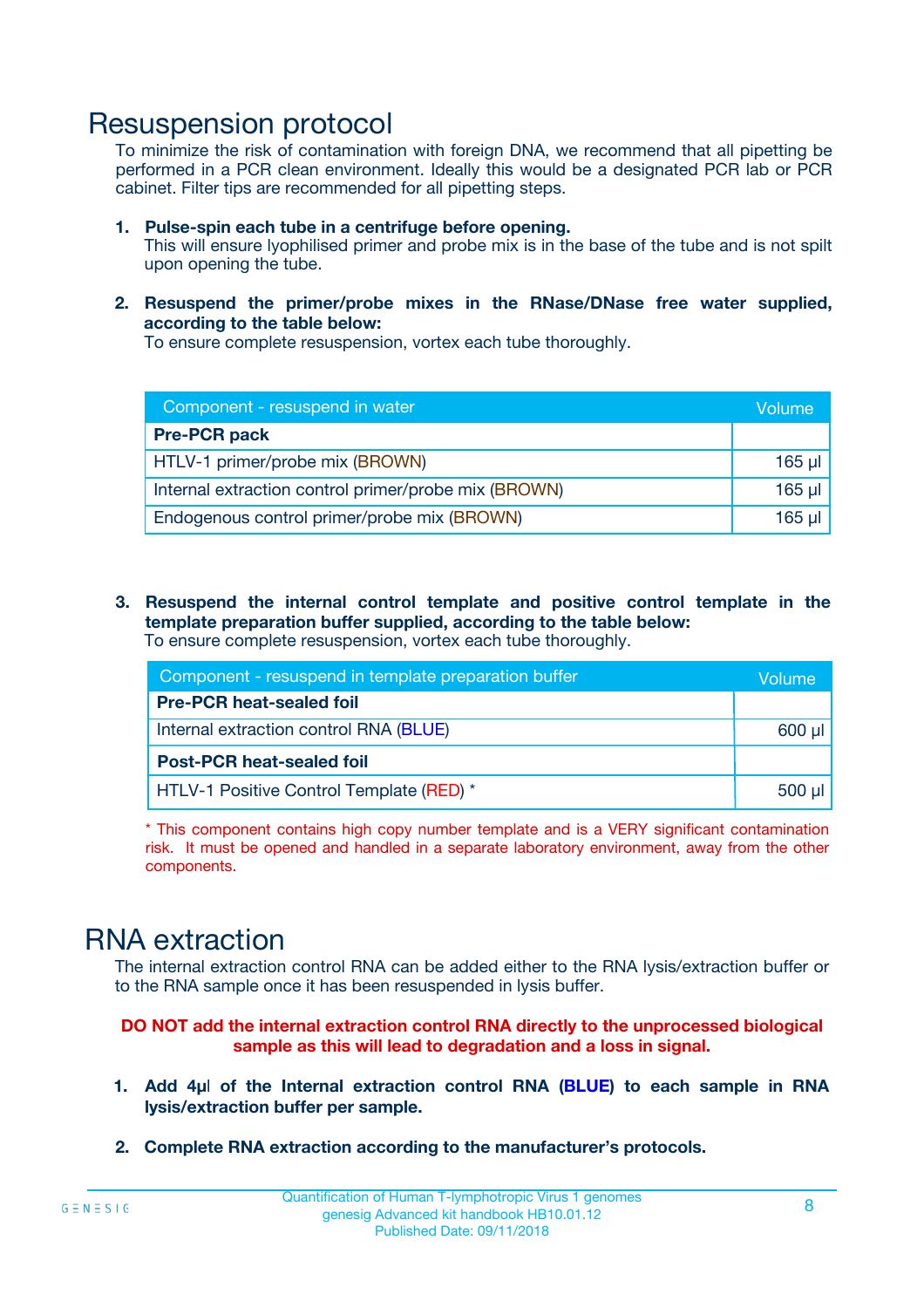### Resuspension protocol

To minimize the risk of contamination with foreign DNA, we recommend that all pipetting be performed in a PCR clean environment. Ideally this would be a designated PCR lab or PCR cabinet. Filter tips are recommended for all pipetting steps.

- **1. Pulse-spin each tube in a centrifuge before opening.** This will ensure lyophilised primer and probe mix is in the base of the tube and is not spilt upon opening the tube.
- **2. Resuspend the primer/probe mixes in the RNase/DNase free water supplied, according to the table below:**

To ensure complete resuspension, vortex each tube thoroughly.

| Component - resuspend in water                       |          |  |
|------------------------------------------------------|----------|--|
| <b>Pre-PCR pack</b>                                  |          |  |
| HTLV-1 primer/probe mix (BROWN)                      | $165$ µl |  |
| Internal extraction control primer/probe mix (BROWN) | $165$ µl |  |
| Endogenous control primer/probe mix (BROWN)          | 165 µl   |  |

**3. Resuspend the internal control template and positive control template in the template preparation buffer supplied, according to the table below:** To ensure complete resuspension, vortex each tube thoroughly.

| Component - resuspend in template preparation buffer |  |  |  |
|------------------------------------------------------|--|--|--|
| <b>Pre-PCR heat-sealed foil</b>                      |  |  |  |
| Internal extraction control RNA (BLUE)               |  |  |  |
| <b>Post-PCR heat-sealed foil</b>                     |  |  |  |
| HTLV-1 Positive Control Template (RED) *             |  |  |  |

\* This component contains high copy number template and is a VERY significant contamination risk. It must be opened and handled in a separate laboratory environment, away from the other components.

### RNA extraction

The internal extraction control RNA can be added either to the RNA lysis/extraction buffer or to the RNA sample once it has been resuspended in lysis buffer.

**DO NOT add the internal extraction control RNA directly to the unprocessed biological sample as this will lead to degradation and a loss in signal.**

- **1. Add 4µ**l **of the Internal extraction control RNA (BLUE) to each sample in RNA lysis/extraction buffer per sample.**
- **2. Complete RNA extraction according to the manufacturer's protocols.**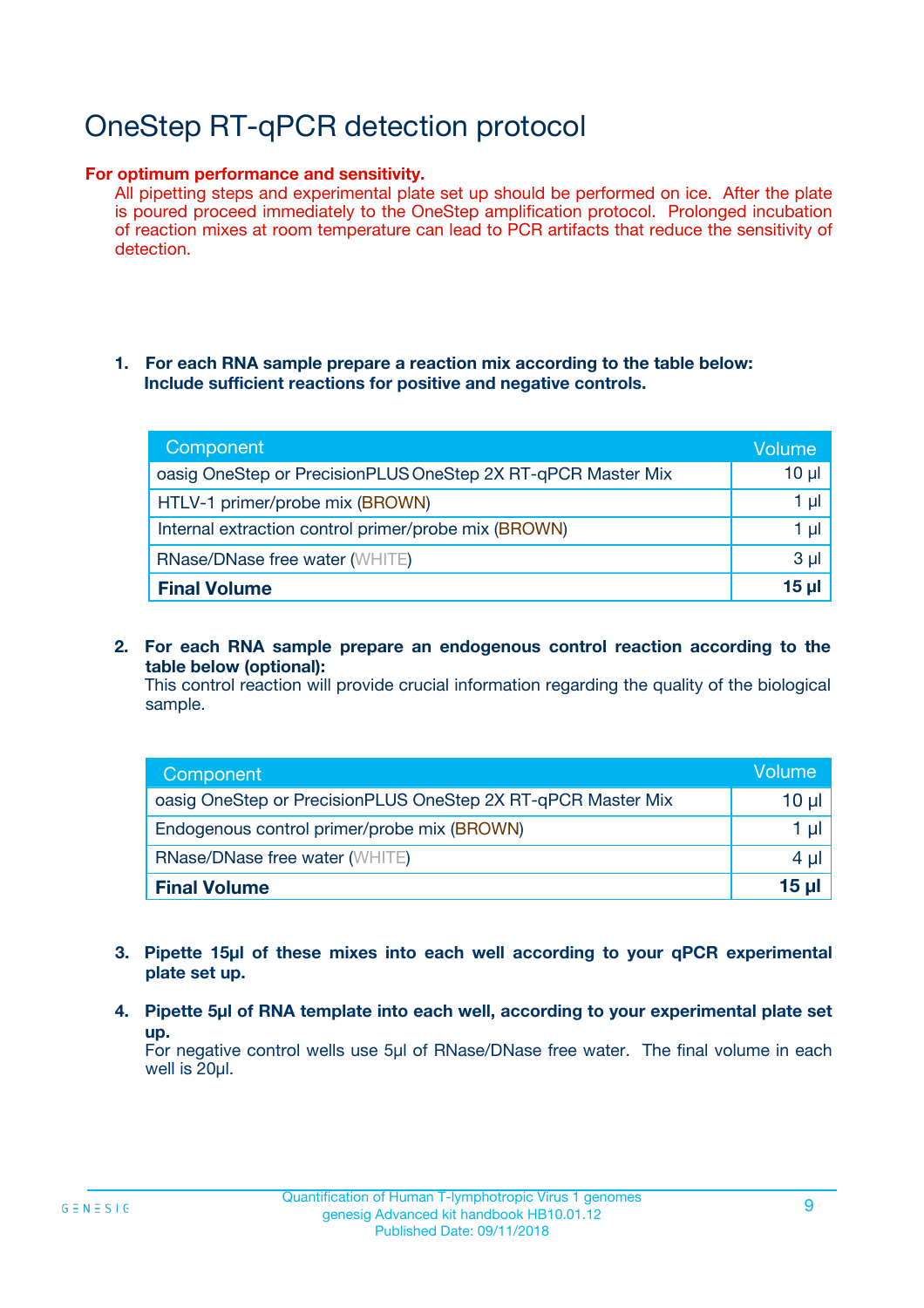# OneStep RT-qPCR detection protocol

#### **For optimum performance and sensitivity.**

All pipetting steps and experimental plate set up should be performed on ice. After the plate is poured proceed immediately to the OneStep amplification protocol. Prolonged incubation of reaction mixes at room temperature can lead to PCR artifacts that reduce the sensitivity of detection.

#### **1. For each RNA sample prepare a reaction mix according to the table below: Include sufficient reactions for positive and negative controls.**

| Component                                                    | Volume   |
|--------------------------------------------------------------|----------|
| oasig OneStep or PrecisionPLUS OneStep 2X RT-qPCR Master Mix | $10 \mu$ |
| HTLV-1 primer/probe mix (BROWN)                              | 1 µl     |
| Internal extraction control primer/probe mix (BROWN)         | 1 µI     |
| <b>RNase/DNase free water (WHITE)</b>                        | $3 \mu$  |
| <b>Final Volume</b>                                          | 15 ul    |

**2. For each RNA sample prepare an endogenous control reaction according to the table below (optional):**

This control reaction will provide crucial information regarding the quality of the biological sample.

| Component                                                    | Volume          |
|--------------------------------------------------------------|-----------------|
| oasig OneStep or PrecisionPLUS OneStep 2X RT-qPCR Master Mix | 10 µl           |
| Endogenous control primer/probe mix (BROWN)                  | 1 µl            |
| <b>RNase/DNase free water (WHITE)</b>                        | $4 \mu$         |
| <b>Final Volume</b>                                          | $15$ µl $\vert$ |

- **3. Pipette 15µl of these mixes into each well according to your qPCR experimental plate set up.**
- **4. Pipette 5µl of RNA template into each well, according to your experimental plate set up.**

For negative control wells use 5µl of RNase/DNase free water. The final volume in each well is 20µl.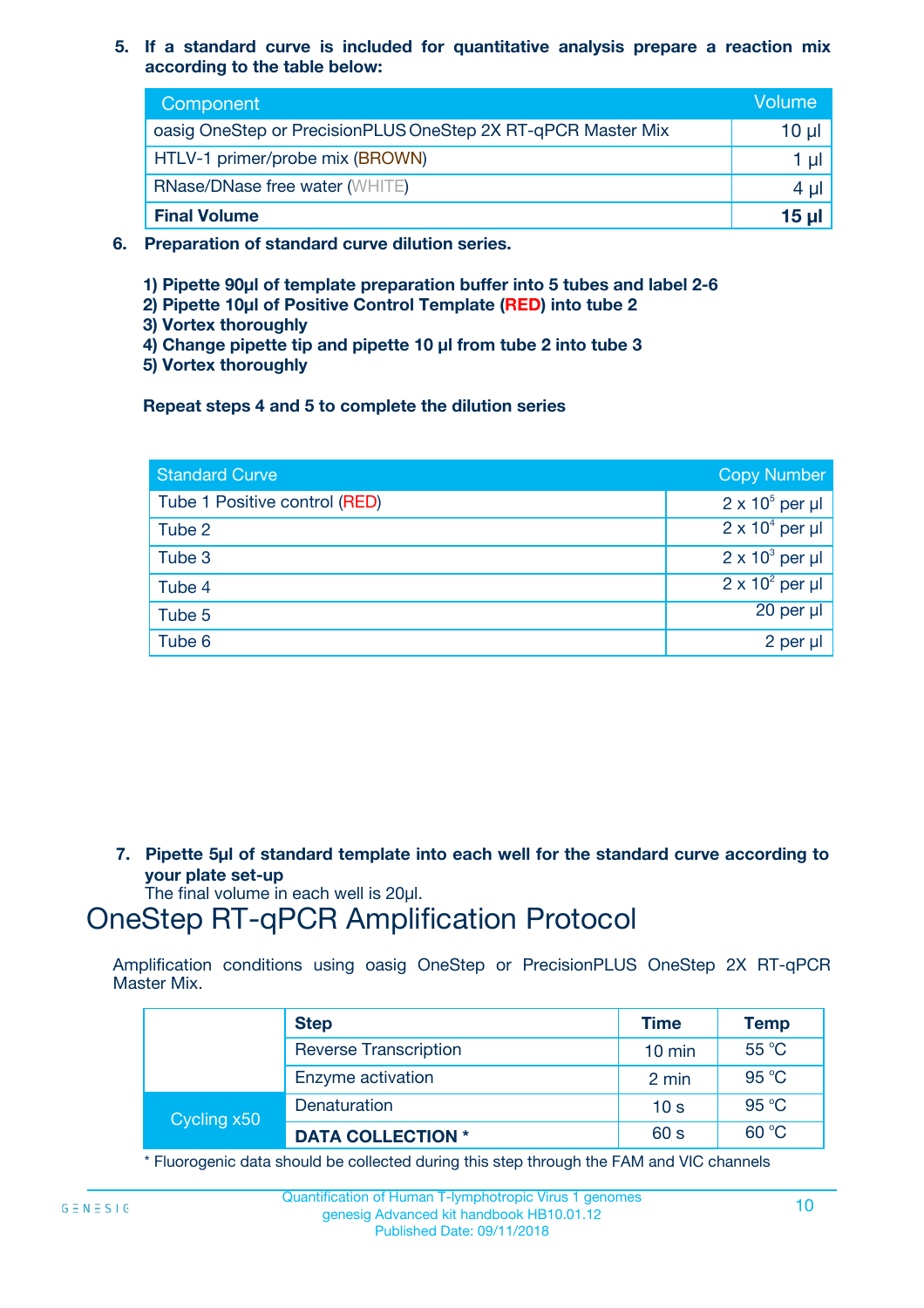**5. If a standard curve is included for quantitative analysis prepare a reaction mix according to the table below:**

| Component                                                    | Volume       |
|--------------------------------------------------------------|--------------|
| oasig OneStep or PrecisionPLUS OneStep 2X RT-qPCR Master Mix | 10 µl        |
| HTLV-1 primer/probe mix (BROWN)                              |              |
| <b>RNase/DNase free water (WHITE)</b>                        | $4 \mu$      |
| <b>Final Volume</b>                                          | <u>15 µl</u> |

- **6. Preparation of standard curve dilution series.**
	- **1) Pipette 90µl of template preparation buffer into 5 tubes and label 2-6**
	- **2) Pipette 10µl of Positive Control Template (RED) into tube 2**
	- **3) Vortex thoroughly**
	- **4) Change pipette tip and pipette 10 µl from tube 2 into tube 3**
	- **5) Vortex thoroughly**

**Repeat steps 4 and 5 to complete the dilution series**

| <b>Standard Curve</b>         | <b>Copy Number</b>     |
|-------------------------------|------------------------|
| Tube 1 Positive control (RED) | $2 \times 10^5$ per µl |
| Tube 2                        | $2 \times 10^4$ per µl |
| Tube 3                        | $2 \times 10^3$ per µl |
| Tube 4                        | $2 \times 10^2$ per µl |
| Tube 5                        | $20$ per $\mu$         |
| Tube 6                        | $2$ per $\mu$          |

**7. Pipette 5µl of standard template into each well for the standard curve according to your plate set-up**

The final volume in each well is 20µl.

# OneStep RT-qPCR Amplification Protocol

Amplification conditions using oasig OneStep or PrecisionPLUS OneStep 2X RT-qPCR Master Mix.

|             | <b>Step</b>                  | <b>Time</b>      | <b>Temp</b> |
|-------------|------------------------------|------------------|-------------|
|             | <b>Reverse Transcription</b> | $10 \text{ min}$ | 55 °C       |
|             | Enzyme activation            | 2 min            | 95 °C       |
| Cycling x50 | Denaturation                 | 10 <sub>s</sub>  | 95 °C       |
|             | <b>DATA COLLECTION *</b>     | 60 s             | 60 °C       |

\* Fluorogenic data should be collected during this step through the FAM and VIC channels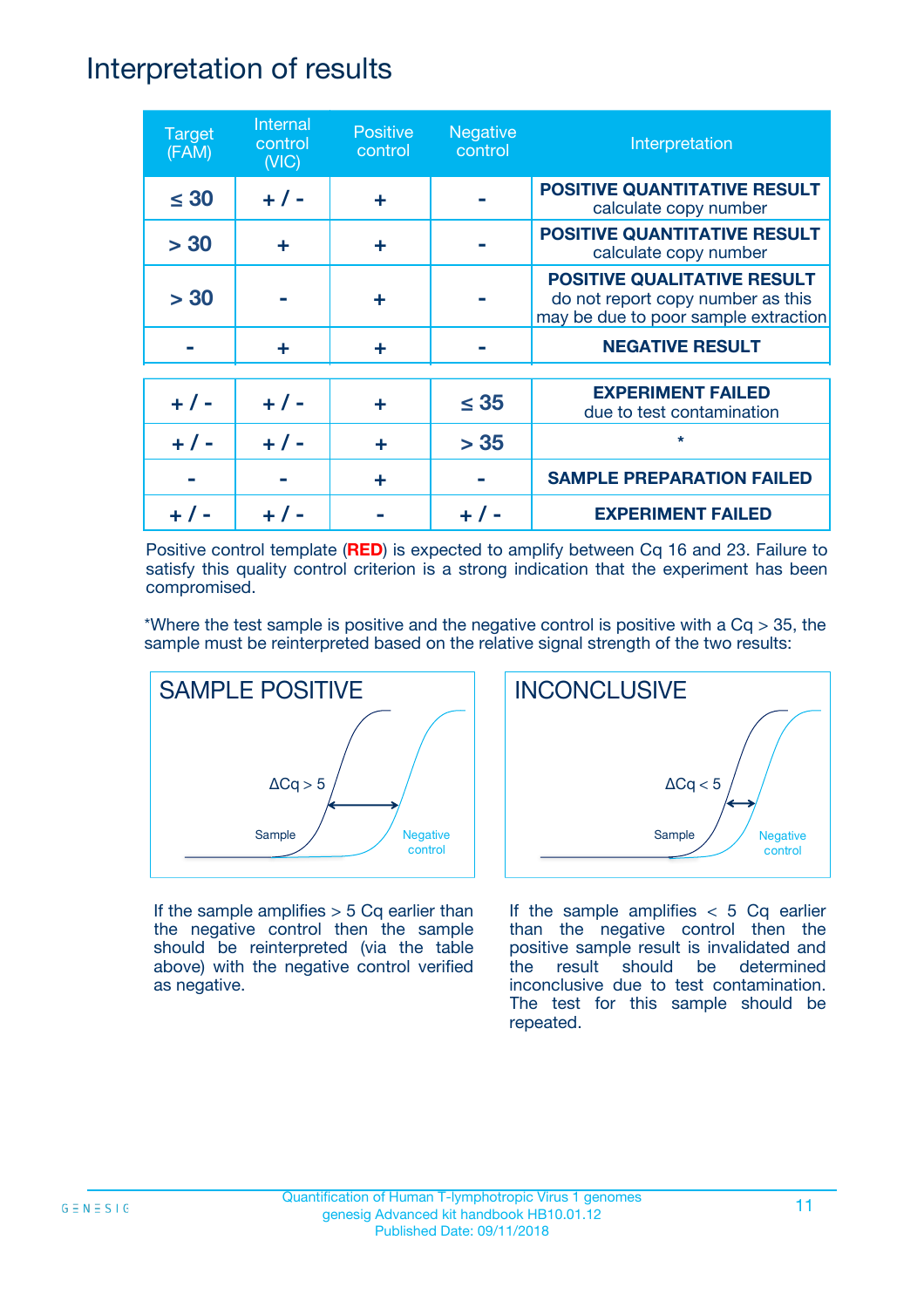### Interpretation of results

| <b>Target</b><br>(FAM) | Internal<br>control<br>(NIC) | <b>Positive</b><br>control | <b>Negative</b><br>control | Interpretation                                                                                                  |
|------------------------|------------------------------|----------------------------|----------------------------|-----------------------------------------------------------------------------------------------------------------|
| $\leq 30$              | $+ 1 -$                      | ÷                          |                            | <b>POSITIVE QUANTITATIVE RESULT</b><br>calculate copy number                                                    |
| > 30                   | ٠                            | ÷                          |                            | <b>POSITIVE QUANTITATIVE RESULT</b><br>calculate copy number                                                    |
| > 30                   |                              | ÷                          |                            | <b>POSITIVE QUALITATIVE RESULT</b><br>do not report copy number as this<br>may be due to poor sample extraction |
|                        | ÷                            | ÷                          |                            | <b>NEGATIVE RESULT</b>                                                                                          |
| $+ 1 -$                | $+ 1 -$                      | ÷                          | $\leq$ 35                  | <b>EXPERIMENT FAILED</b><br>due to test contamination                                                           |
| $+ 1 -$                | $+ 1 -$                      | ÷                          | > 35                       | $\star$                                                                                                         |
|                        |                              | ÷                          |                            | <b>SAMPLE PREPARATION FAILED</b>                                                                                |
|                        |                              |                            |                            | <b>EXPERIMENT FAILED</b>                                                                                        |

Positive control template (**RED**) is expected to amplify between Cq 16 and 23. Failure to satisfy this quality control criterion is a strong indication that the experiment has been compromised.

\*Where the test sample is positive and the negative control is positive with a  $Cq > 35$ , the sample must be reinterpreted based on the relative signal strength of the two results:



If the sample amplifies  $> 5$  Cq earlier than the negative control then the sample should be reinterpreted (via the table above) with the negative control verified as negative.



If the sample amplifies  $< 5$  Cq earlier than the negative control then the positive sample result is invalidated and the result should be determined inconclusive due to test contamination. The test for this sample should be repeated.